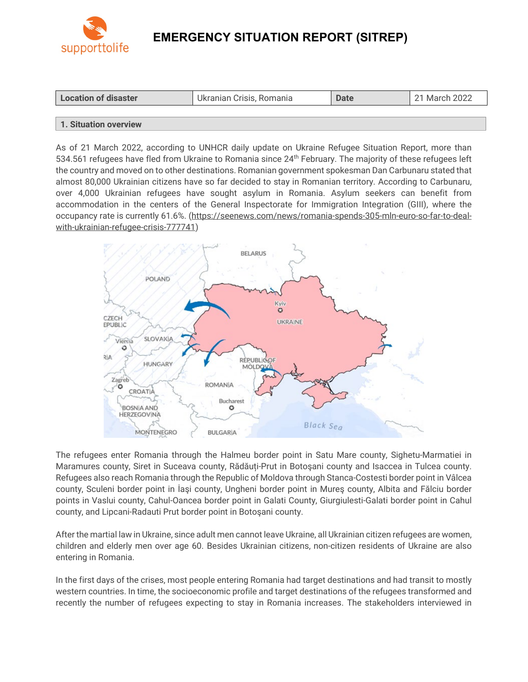

# **EMERGENCY SITUATION REPORT (SITREP)**

| <b>Location of disaster</b> | Ukranian Crisis, Romania | <b>Date</b> | 21 March 2022 |
|-----------------------------|--------------------------|-------------|---------------|
|                             |                          |             |               |

### **1. Situation overview**

As of 21 March 2022, according to UNHCR daily update on Ukraine Refugee Situation Report, more than 534.561 refugees have fled from Ukraine to Romania since 24<sup>th</sup> February. The majority of these refugees left the country and moved on to other destinations. Romanian government spokesman Dan Carbunaru stated that almost 80,000 Ukrainian citizens have so far decided to stay in Romanian territory. According to Carbunaru, over 4,000 Ukrainian refugees have sought asylum in Romania. Asylum seekers can benefit from accommodation in the centers of the General Inspectorate for Immigration Integration (GIII), where the occupancy rate is currently 61.6%. [\(https://seenews.com/news/romania-spends-305-mln-euro-so-far-to-deal](https://seenews.com/news/romania-spends-305-mln-euro-so-far-to-deal-with-ukrainian-refugee-crisis-777741)[with-ukrainian-refugee-crisis-777741\)](https://seenews.com/news/romania-spends-305-mln-euro-so-far-to-deal-with-ukrainian-refugee-crisis-777741)



The refugees enter Romania through the Halmeu border point in Satu Mare county, Sighetu-Marmatiei in Maramures county, Siret in Suceava county, Rădăuți-Prut in Botoşani county and Isaccea in Tulcea county. Refugees also reach Romania through the Republic of Moldova through Stanca-Costesti border point in Vâlcea county, Sculeni border point in İaşi county, Ungheni border point in Mureş county, Albita and Fălciu border points in Vaslui county, Cahul-Oancea border point in Galati County, Giurgiulesti-Galati border point in Cahul county, and Lipcani-Radauti Prut border point in Botoşani county.

After the martial law in Ukraine, since adult men cannot leave Ukraine, all Ukrainian citizen refugees are women, children and elderly men over age 60. Besides Ukrainian citizens, non-citizen residents of Ukraine are also entering in Romania.

In the first days of the crises, most people entering Romania had target destinations and had transit to mostly western countries. In time, the socioeconomic profile and target destinations of the refugees transformed and recently the number of refugees expecting to stay in Romania increases. The stakeholders interviewed in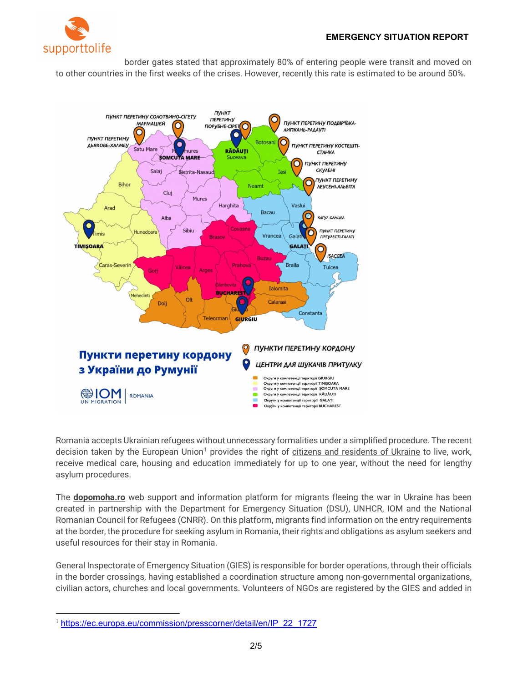

border gates stated that approximately 80% of entering people were transit and moved on to other countries in the first weeks of the crises. However, recently this rate is estimated to be around 50%.



Romania accepts Ukrainian refugees without unnecessary formalities under a simplified procedure. The recent decision taken by the European Union<sup>[1](#page-1-0)</sup> provides the right of citizens and residents of Ukraine to live, work, receive medical care, housing and education immediately for up to one year, without the need for lengthy asylum procedures.

The **[dopomoha.ro](https://dopomoha.ro/ro)** web support and information platform for migrants fleeing the war in Ukraine has been created in partnership with the Department for Emergency Situation (DSU), UNHCR, IOM and the National Romanian Council for Refugees (CNRR). On this platform, migrants find information on the entry requirements at the border, the procedure for seeking asylum in Romania, their rights and obligations as asylum seekers and useful resources for their stay in Romania.

General Inspectorate of Emergency Situation (GIES) is responsible for border operations, through their officials in the border crossings, having established a coordination structure among non-governmental organizations, civilian actors, churches and local governments. Volunteers of NGOs are registered by the GIES and added in

<span id="page-1-0"></span><sup>&</sup>lt;sup>1</sup> [https://ec.europa.eu/commission/presscorner/detail/en/IP\\_22\\_1727](https://ec.europa.eu/commission/presscorner/detail/en/IP_22_1727)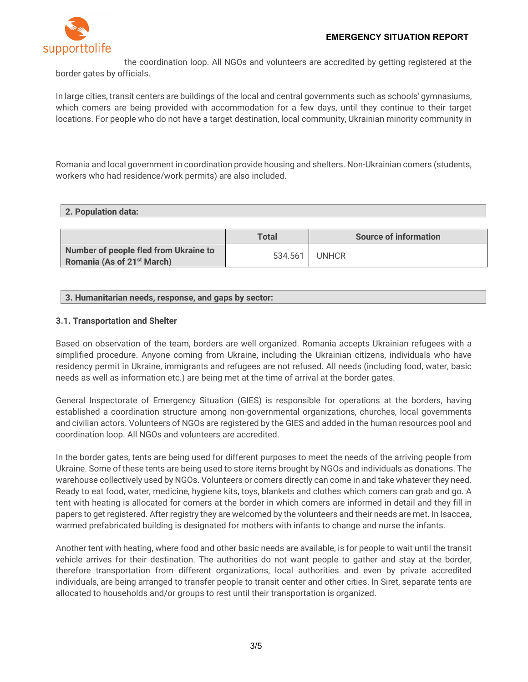

the coordination loop. All NGOs and volunteers are accredited by getting registered at the border gates by officials.

In large cities, transit centers are buildings of the local and central governments such as schools' gymnasiums, which comers are being provided with accommodation for a few days, until they continue to their target locations. For people who do not have a target destination, local community, Ukrainian minority community in

Romania and local government in coordination provide housing and shelters. Non-Ukrainian comers (students, workers who had residence/work permits) are also included.

#### **2. Population data:**

|                                                                                 | <b>Total</b> | <b>Source of information</b> |
|---------------------------------------------------------------------------------|--------------|------------------------------|
| Number of people fled from Ukraine to<br>Romania (As of 21 <sup>st</sup> March) | 534.561      | <b>UNHCR</b>                 |

### **3. Humanitarian needs, response, and gaps by sector:**

#### **3.1. Transportation and Shelter**

Based on observation of the team, borders are well organized. Romania accepts Ukrainian refugees with a simplified procedure. Anyone coming from Ukraine, including the Ukrainian citizens, individuals who have residency permit in Ukraine, immigrants and refugees are not refused. All needs (including food, water, basic needs as well as information etc.) are being met at the time of arrival at the border gates.

General Inspectorate of Emergency Situation (GIES) is responsible for operations at the borders, having established a coordination structure among non-governmental organizations, churches, local governments and civilian actors. Volunteers of NGOs are registered by the GIES and added in the human resources pool and coordination loop. All NGOs and volunteers are accredited.

In the border gates, tents are being used for different purposes to meet the needs of the arriving people from Ukraine. Some of these tents are being used to store items brought by NGOs and individuals as donations. The warehouse collectively used by NGOs. Volunteers or comers directly can come in and take whatever they need. Ready to eat food, water, medicine, hygiene kits, toys, blankets and clothes which comers can grab and go. A tent with heating is allocated for comers at the border in which comers are informed in detail and they fill in papers to get registered. After registry they are welcomed by the volunteers and their needs are met. In Isaccea, warmed prefabricated building is designated for mothers with infants to change and nurse the infants.

Another tent with heating, where food and other basic needs are available, is for people to wait until the transit vehicle arrives for their destination. The authorities do not want people to gather and stay at the border, therefore transportation from different organizations, local authorities and even by private accredited individuals, are being arranged to transfer people to transit center and other cities. In Siret, separate tents are allocated to households and/or groups to rest until their transportation is organized.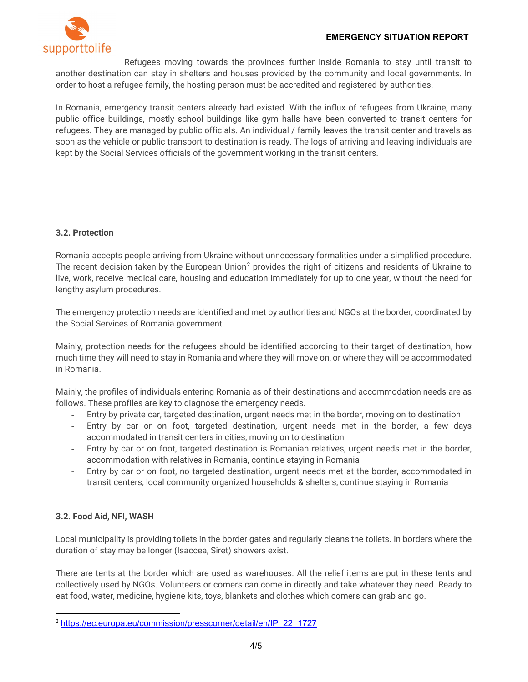

Refugees moving towards the provinces further inside Romania to stay until transit to another destination can stay in shelters and houses provided by the community and local governments. In order to host a refugee family, the hosting person must be accredited and registered by authorities.

In Romania, emergency transit centers already had existed. With the influx of refugees from Ukraine, many public office buildings, mostly school buildings like gym halls have been converted to transit centers for refugees. They are managed by public officials. An individual / family leaves the transit center and travels as soon as the vehicle or public transport to destination is ready. The logs of arriving and leaving individuals are kept by the Social Services officials of the government working in the transit centers.

# **3.2. Protection**

Romania accepts people arriving from Ukraine without unnecessary formalities under a simplified procedure. The recent decision taken by the European Union<sup>2</sup> provides the right of citizens and residents of Ukraine to live, work, receive medical care, housing and education immediately for up to one year, without the need for lengthy asylum procedures.

The emergency protection needs are identified and met by authorities and NGOs at the border, coordinated by the Social Services of Romania government.

Mainly, protection needs for the refugees should be identified according to their target of destination, how much time they will need to stay in Romania and where they will move on, or where they will be accommodated in Romania.

Mainly, the profiles of individuals entering Romania as of their destinations and accommodation needs are as follows. These profiles are key to diagnose the emergency needs.

- Entry by private car, targeted destination, urgent needs met in the border, moving on to destination
- Entry by car or on foot, targeted destination, urgent needs met in the border, a few days accommodated in transit centers in cities, moving on to destination
- Entry by car or on foot, targeted destination is Romanian relatives, urgent needs met in the border, accommodation with relatives in Romania, continue staying in Romania
- Entry by car or on foot, no targeted destination, urgent needs met at the border, accommodated in transit centers, local community organized households & shelters, continue staying in Romania

# **3.2. Food Aid, NFI, WASH**

Local municipality is providing toilets in the border gates and regularly cleans the toilets. In borders where the duration of stay may be longer (Isaccea, Siret) showers exist.

There are tents at the border which are used as warehouses. All the relief items are put in these tents and collectively used by NGOs. Volunteers or comers can come in directly and take whatever they need. Ready to eat food, water, medicine, hygiene kits, toys, blankets and clothes which comers can grab and go.

<span id="page-3-0"></span><sup>2</sup> [https://ec.europa.eu/commission/presscorner/detail/en/IP\\_22\\_1727](https://ec.europa.eu/commission/presscorner/detail/en/IP_22_1727)